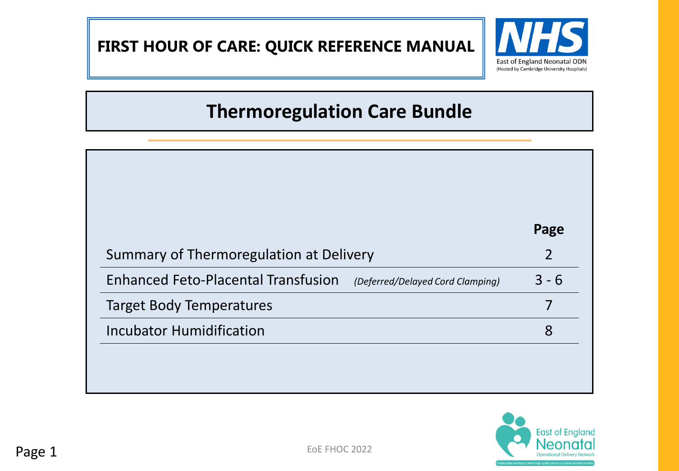# **FIRST HOUR OF CARE: QUICK REFERENCE MANUAL**



# **Thermoregulation Care Bundle**

|                                            |                                  | Page           |
|--------------------------------------------|----------------------------------|----------------|
| Summary of Thermoregulation at Delivery    |                                  | $\overline{2}$ |
| <b>Enhanced Feto-Placental Transfusion</b> | (Deferred/Delayed Cord Clamping) | $3 - 6$        |
| <b>Target Body Temperatures</b>            |                                  |                |
| <b>Incubator Humidification</b>            |                                  | 8              |

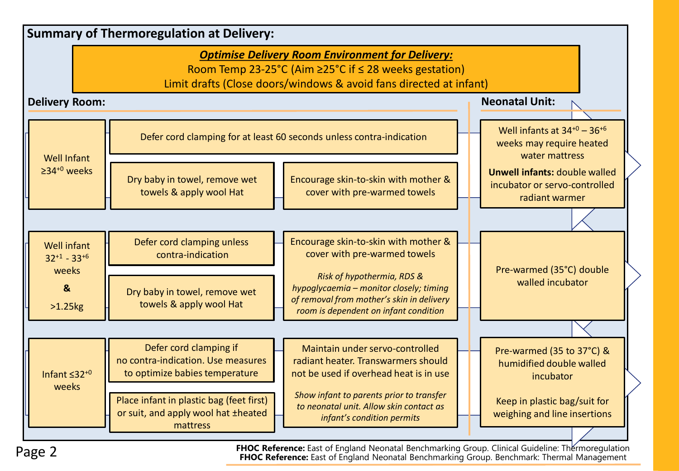|                                              | <b>Summary of Thermoregulation at Delivery:</b>                                                |                                                                                                                                                                                        |                                                                                         |
|----------------------------------------------|------------------------------------------------------------------------------------------------|----------------------------------------------------------------------------------------------------------------------------------------------------------------------------------------|-----------------------------------------------------------------------------------------|
|                                              |                                                                                                | <b>Optimise Delivery Room Environment for Delivery:</b><br>Room Temp 23-25°C (Aim ≥25°C if ≤ 28 weeks gestation)<br>Limit drafts (Close doors/windows & avoid fans directed at infant) |                                                                                         |
| <b>Delivery Room:</b>                        |                                                                                                |                                                                                                                                                                                        | <b>Neonatal Unit:</b>                                                                   |
| <b>Well Infant</b>                           | Defer cord clamping for at least 60 seconds unless contra-indication                           |                                                                                                                                                                                        | Well infants at $34^{+0}$ - $36^{+6}$<br>weeks may require heated<br>water mattress     |
| $\geq$ 34 <sup>+0</sup> weeks                | Dry baby in towel, remove wet<br>towels & apply wool Hat                                       | Encourage skin-to-skin with mother &<br>cover with pre-warmed towels                                                                                                                   | <b>Unwell infants: double walled</b><br>incubator or servo-controlled<br>radiant warmer |
|                                              |                                                                                                |                                                                                                                                                                                        |                                                                                         |
| <b>Well infant</b><br>$32+1 - 33+6$<br>weeks | Defer cord clamping unless<br>contra-indication                                                | Encourage skin-to-skin with mother &<br>cover with pre-warmed towels                                                                                                                   | Pre-warmed (35°C) double                                                                |
| $\mathbf{8}$<br>$>1.25$                      | Dry baby in towel, remove wet<br>towels & apply wool Hat                                       | Risk of hypothermia, RDS &<br>hypoglycaemia - monitor closely; timing<br>of removal from mother's skin in delivery<br>room is dependent on infant condition                            | walled incubator                                                                        |
|                                              |                                                                                                |                                                                                                                                                                                        |                                                                                         |
| Infant $\leq 32^{+0}$                        | Defer cord clamping if<br>no contra-indication. Use measures<br>to optimize babies temperature | Maintain under servo-controlled<br>radiant heater. Transwarmers should<br>not be used if overhead heat is in use                                                                       | Pre-warmed (35 to 37°C) &<br>humidified double walled<br>incubator                      |
| weeks                                        | Place infant in plastic bag (feet first)<br>or suit, and apply wool hat ±heated<br>mattress    | Show infant to parents prior to transfer<br>to neonatal unit. Allow skin contact as<br>infant's condition permits                                                                      | Keep in plastic bag/suit for<br>weighing and line insertions                            |
|                                              |                                                                                                |                                                                                                                                                                                        |                                                                                         |

Page 2 **FHOC Reference:** East of England Neonatal Benchmarking Group. Benchmark: Thermal Management **FHOC Reference:** East of England Neonatal Benchmarking Group. Clinical Guideline: Thermoregulation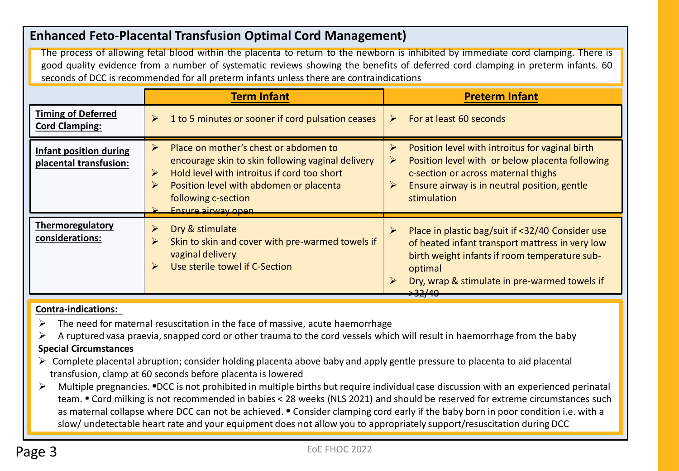### **Enhanced Feto-Placental Transfusion Optimal Cord Management)**

The process of allowing fetal blood within the placenta to return to the newborn is inhibited by immediate cord clamping. There is good quality evidence from a number of systematic reviews showing the benefits of deferred cord clamping in preterm infants. 60 seconds of DCC is recommended for all preterm infants unless there are contraindications

|                                                         | <b>Term Infant</b>                                                                                                                                                                                                                                                                                             | <b>Preterm Infant</b>                                                                                                                                                                                                                                                                 |
|---------------------------------------------------------|----------------------------------------------------------------------------------------------------------------------------------------------------------------------------------------------------------------------------------------------------------------------------------------------------------------|---------------------------------------------------------------------------------------------------------------------------------------------------------------------------------------------------------------------------------------------------------------------------------------|
| <b>Timing of Deferred</b><br><b>Cord Clamping:</b>      | 1 to 5 minutes or sooner if cord pulsation ceases<br>$\blacktriangleright$                                                                                                                                                                                                                                     | For at least 60 seconds<br>➤                                                                                                                                                                                                                                                          |
| <b>Infant position during</b><br>placental transfusion: | Place on mother's chest or abdomen to<br>$\blacktriangleright$<br>encourage skin to skin following vaginal delivery<br>Hold level with introitus if cord too short<br>$\blacktriangleright$<br>Position level with abdomen or placenta<br>$\triangleright$<br>following c-section<br><b>Ensure airway onen</b> | Position level with introitus for vaginal birth<br>➤<br>Position level with or below placenta following<br>$\blacktriangleright$<br>c-section or across maternal thighs<br>Ensure airway is in neutral position, gentle<br>$\blacktriangleright$<br>stimulation                       |
| Thermoregulatory<br>considerations:                     | $\blacktriangleright$<br>Dry & stimulate<br>Skin to skin and cover with pre-warmed towels if<br>$\blacktriangleright$<br>vaginal delivery<br>Use sterile towel if C-Section<br>$\blacktriangleright$                                                                                                           | Place in plastic bag/suit if <32/40 Consider use<br>$\triangleright$<br>of heated infant transport mattress in very low<br>birth weight infants if room temperature sub-<br>optimal<br>Dry, wrap & stimulate in pre-warmed towels if<br>$\blacktriangleright$<br><del>&gt;32/40</del> |

#### **Contra-indications:**

- $\triangleright$  The need for maternal resuscitation in the face of massive, acute haemorrhage
- $\triangleright$  A ruptured vasa praevia, snapped cord or other trauma to the cord vessels which will result in haemorrhage from the baby

#### **Special Circumstances**

- $\triangleright$  Complete placental abruption; consider holding placenta above baby and apply gentle pressure to placenta to aid placental transfusion, clamp at 60 seconds before placenta is lowered
- Multiple pregnancies. •DCC is not prohibited in multiple births but require individual case discussion with an experienced perinatal team. • Cord milking is not recommended in babies < 28 weeks (NLS 2021) and should be reserved for extreme circumstances such as maternal collapse where DCC can not be achieved. • Consider clamping cord early if the baby born in poor condition i.e. with a slow/ undetectable heart rate and your equipment does not allow you to appropriately support/resuscitation during DCC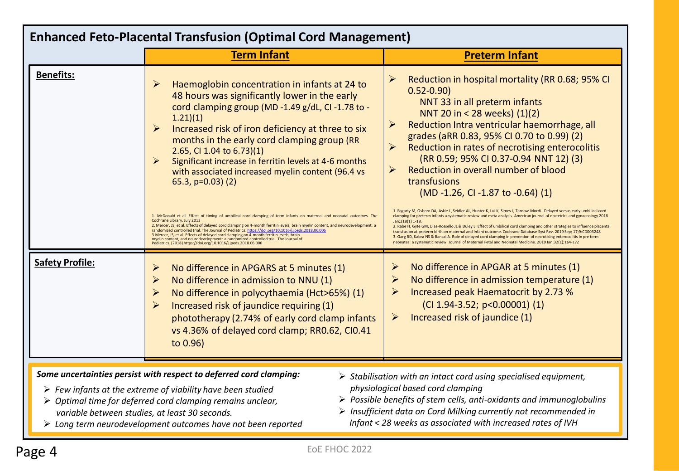| <b>Enhanced Feto-Placental Transfusion (Optimal Cord Management)</b> |                                                                                                                                                                                                                                                                                                                                                                                                                                                                                                                                                                                                                             |                                                                                                                                                                                                                                                                                                                                                                                                                                                                                                                                                                                                                                                                                                                                              |  |
|----------------------------------------------------------------------|-----------------------------------------------------------------------------------------------------------------------------------------------------------------------------------------------------------------------------------------------------------------------------------------------------------------------------------------------------------------------------------------------------------------------------------------------------------------------------------------------------------------------------------------------------------------------------------------------------------------------------|----------------------------------------------------------------------------------------------------------------------------------------------------------------------------------------------------------------------------------------------------------------------------------------------------------------------------------------------------------------------------------------------------------------------------------------------------------------------------------------------------------------------------------------------------------------------------------------------------------------------------------------------------------------------------------------------------------------------------------------------|--|
|                                                                      | <b>Term Infant</b>                                                                                                                                                                                                                                                                                                                                                                                                                                                                                                                                                                                                          | <b>Preterm Infant</b>                                                                                                                                                                                                                                                                                                                                                                                                                                                                                                                                                                                                                                                                                                                        |  |
| <b>Benefits:</b>                                                     | Haemoglobin concentration in infants at 24 to<br>$\blacktriangleright$<br>48 hours was significantly lower in the early<br>cord clamping group (MD-1.49 g/dL, CI-1.78 to -<br>1.21(1)<br>Increased risk of iron deficiency at three to six<br>$\triangleright$<br>months in the early cord clamping group (RR<br>2.65, CI 1.04 to 6.73)(1)<br>Significant increase in ferritin levels at 4-6 months<br>$\triangleright$<br>with associated increased myelin content (96.4 vs<br>65.3, $p=0.03$ (2)<br>1. McDonald et al. Effect of timing of umbilical cord clamping of term infants on maternal and neonatal outcomes. The | Reduction in hospital mortality (RR 0.68; 95% CI<br>$\blacktriangleright$<br>$0.52 - 0.90$<br>NNT 33 in all preterm infants<br>NNT 20 in < 28 weeks) (1)(2)<br>Reduction Intra ventricular haemorrhage, all<br>➤<br>grades (aRR 0.83, 95% CI 0.70 to 0.99) (2)<br>$\blacktriangleright$<br>Reduction in rates of necrotising enterocolitis<br>(RR 0.59; 95% CI 0.37-0.94 NNT 12) (3)<br>Reduction in overall number of blood<br>➤<br>transfusions<br>(MD-1.26, CI-1.87 to -0.64) (1)<br>1. Fogarty M, Osborn DA, Askie L, Seidler AL, Hunter K, Lui K, Simes J, Tarnow-Mordi. Delayed versus early umbilical cord<br>clamping for preterm infants a systematic review and meta analysis. American journal of obstetrics and gynaecology 2018 |  |
|                                                                      | Cochrane Library. July 2013<br>2. Mercer, JS, et al. Effects of delayed cord clamping on 4-month ferritin levels, brain myelin content, and neurodevelopment: a<br>randomized controlled trial. The Journal of Pediatrics. https://doi.org/10.1016/j.jpeds.2018.06.006<br>3. Mercer, JS, et al. Effects of delayed cord clamping on 4-month ferritin levels, brain<br>myelin content, and neurodevelopment: a randomized controlled trial. The Journal of<br>Pediatrics. (2018) https://doi.org/10.1016/j.jpeds.2018.06.006                                                                                                 | Jan; 218(1) 1-18.<br>2. Rabe H, Gyte GM, Diaz-Rossello JL & Duley L. Effect of umbilical cord clamping and other strategies to influence placental<br>transfusion at preterm birth on maternal and infant outcome. Cochrane Database Syst Rev. 2019 Sep; 17;9:CD003248<br>3. Garg BD, Kabra NS & Bansal A. Role of delayed cord clamping in prevention of necrotising enterocolitis in pre term<br>neonates: a systematic review. Journal of Maternal Fetal and Neonatal Medicine. 2019 Jan;32(1);164-172                                                                                                                                                                                                                                    |  |
| <b>Safety Profile:</b>                                               | $\blacktriangleright$<br>No difference in APGARS at 5 minutes (1)<br>$\blacktriangleright$<br>No difference in admission to NNU (1)<br>$\blacktriangleright$<br>No difference in polycythaemia (Hct>65%) (1)<br>Increased risk of jaundice requiring (1)<br>$\blacktriangleright$<br>phototherapy (2.74% of early cord clamp infants<br>vs 4.36% of delayed cord clamp; RR0.62, CI0.41<br>to 0.96)                                                                                                                                                                                                                          | No difference in APGAR at 5 minutes (1)<br>➤<br>No difference in admission temperature (1)<br>$\blacktriangleright$<br>Increased peak Haematocrit by 2.73 %<br>➤<br>$(Cl 1.94-3.52; p<0.00001) (1)$<br>Increased risk of jaundice (1)<br>$\blacktriangleright$                                                                                                                                                                                                                                                                                                                                                                                                                                                                               |  |
| variable between studies, at least 30 seconds.                       | Some uncertainties persist with respect to deferred cord clamping:<br>$\triangleright$ Few infants at the extreme of viability have been studied<br>> Optimal time for deferred cord clamping remains unclear,<br>$\triangleright$ Long term neurodevelopment outcomes have not been reported                                                                                                                                                                                                                                                                                                                               | $\triangleright$ Stabilisation with an intact cord using specialised equipment,<br>physiological based cord clamping<br>$\triangleright$ Possible benefits of stem cells, anti-oxidants and immunoglobulins<br>> Insufficient data on Cord Milking currently not recommended in<br>Infant < 28 weeks as associated with increased rates of IVH                                                                                                                                                                                                                                                                                                                                                                                               |  |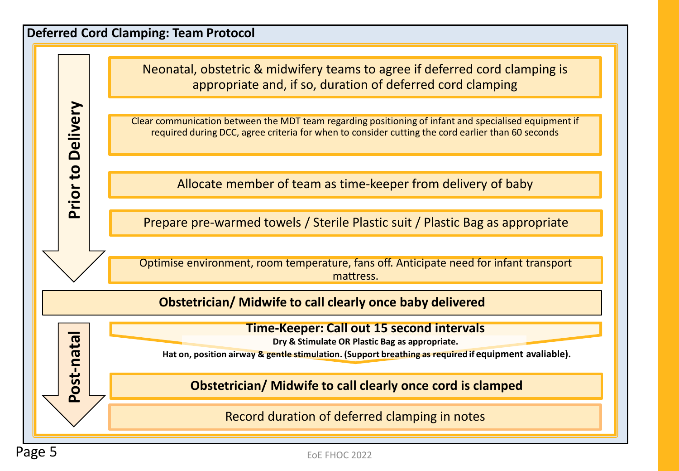### **Deferred Cord Clamping: Team Protocol**

**Prior to Delivery**

 $\overline{c}$ 

Prior

**Delivery** 

**Post**

**-natal**

Neonatal, obstetric & midwifery teams to agree if deferred cord clamping is appropriate and, if so, duration of deferred cord clamping

Clear communication between the MDT team regarding positioning of infant and specialised equipment if required during DCC, agree criteria for when to consider cutting the cord earlier than 60 seconds

Allocate member of team as time-keeper from delivery of baby

Prepare pre-warmed towels / Sterile Plastic suit / Plastic Bag as appropriate

Optimise environment, room temperature, fans off. Anticipate need for infant transport mattress.

**Obstetrician/ Midwife to call clearly once baby delivered**

**Time-Keeper: Call out 15 second intervals**

**Dry & Stimulate OR Plastic Bag as appropriate.**

Hat on, position airway & gentle stimulation. (Support breathing as required if equipment avaliable).

**Obstetrician/ Midwife to call clearly once cord is clamped**

Record duration of deferred clamping in notes

EoE FHOC 2022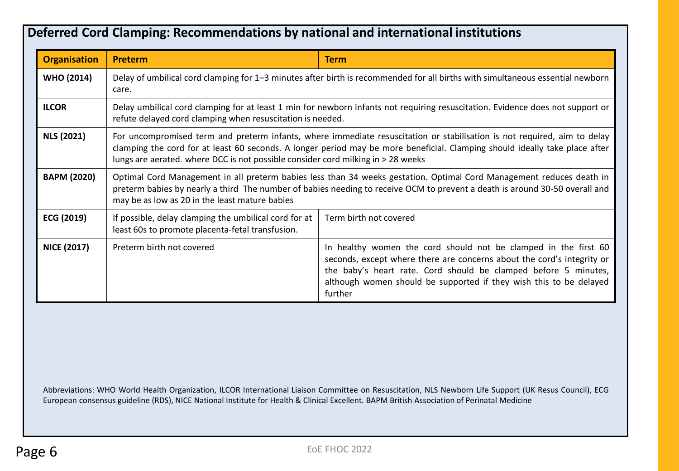### **Deferred Cord Clamping: Recommendations by national and international institutions**

| <b>Organisation</b> | Preterm                                                                                                                                                                                                                                                                                                                                     | <b>Term</b>                                                                                                                                                                                                                                                                                   |  |
|---------------------|---------------------------------------------------------------------------------------------------------------------------------------------------------------------------------------------------------------------------------------------------------------------------------------------------------------------------------------------|-----------------------------------------------------------------------------------------------------------------------------------------------------------------------------------------------------------------------------------------------------------------------------------------------|--|
| <b>WHO (2014)</b>   | Delay of umbilical cord clamping for 1–3 minutes after birth is recommended for all births with simultaneous essential newborn<br>care.                                                                                                                                                                                                     |                                                                                                                                                                                                                                                                                               |  |
| <b>ILCOR</b>        | Delay umbilical cord clamping for at least 1 min for newborn infants not requiring resuscitation. Evidence does not support or<br>refute delayed cord clamping when resuscitation is needed.                                                                                                                                                |                                                                                                                                                                                                                                                                                               |  |
| <b>NLS (2021)</b>   | For uncompromised term and preterm infants, where immediate resuscitation or stabilisation is not required, aim to delay<br>clamping the cord for at least 60 seconds. A longer period may be more beneficial. Clamping should ideally take place after<br>lungs are aerated. where DCC is not possible consider cord milking in > 28 weeks |                                                                                                                                                                                                                                                                                               |  |
| <b>BAPM (2020)</b>  | Optimal Cord Management in all preterm babies less than 34 weeks gestation. Optimal Cord Management reduces death in<br>preterm babies by nearly a third The number of babies needing to receive OCM to prevent a death is around 30-50 overall and<br>may be as low as 20 in the least mature babies                                       |                                                                                                                                                                                                                                                                                               |  |
| ECG (2019)          | If possible, delay clamping the umbilical cord for at<br>least 60s to promote placenta-fetal transfusion.                                                                                                                                                                                                                                   | Term birth not covered                                                                                                                                                                                                                                                                        |  |
| <b>NICE (2017)</b>  | Preterm birth not covered                                                                                                                                                                                                                                                                                                                   | In healthy women the cord should not be clamped in the first 60<br>seconds, except where there are concerns about the cord's integrity or<br>the baby's heart rate. Cord should be clamped before 5 minutes,<br>although women should be supported if they wish this to be delayed<br>further |  |

Abbreviations: WHO World Health Organization, ILCOR International Liaison Committee on Resuscitation, NLS Newborn Life Support (UK Resus Council), ECG European consensus guideline (RDS), NICE National Institute for Health & Clinical Excellent. BAPM British Association of Perinatal Medicine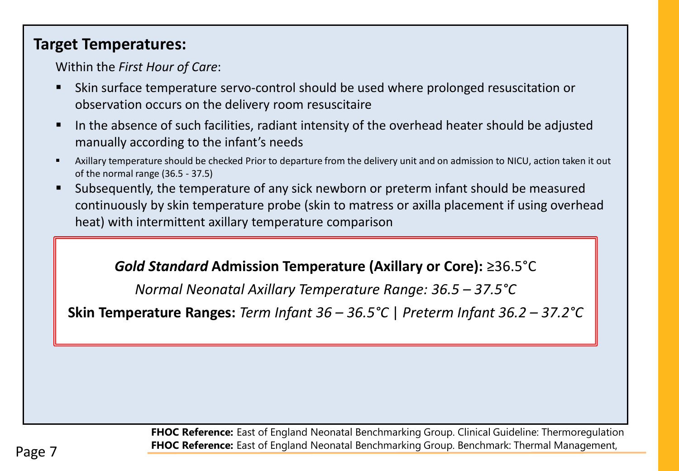## **Target Temperatures:**

Within the *First Hour of Care*:

- Skin surface temperature servo-control should be used where prolonged resuscitation or observation occurs on the delivery room resuscitaire
- In the absence of such facilities, radiant intensity of the overhead heater should be adjusted manually according to the infant's needs
- Axillary temperature should be checked Prior to departure from the delivery unit and on admission to NICU, action taken it out of the normal range (36.5 - 37.5)
- Subsequently, the temperature of any sick newborn or preterm infant should be measured continuously by skin temperature probe (skin to matress or axilla placement if using overhead heat) with intermittent axillary temperature comparison

## *Gold Standard* **Admission Temperature (Axillary or Core):** ≥36.5°C

*Normal Neonatal Axillary Temperature Range: 36.5 – 37.5°C*

**Skin Temperature Ranges:** *Term Infant 36 – 36.5°C* | *Preterm Infant 36.2 – 37.2°C*